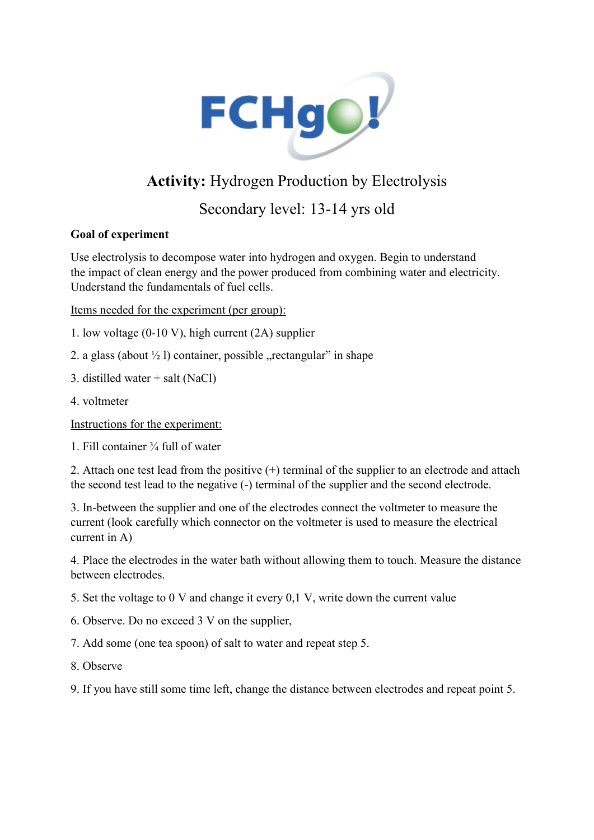

## Activity: Hydrogen Production by Electrolysis

## Secondary level: 13-14 yrs old

## Goal of experiment

Use electrolysis to decompose water into hydrogen and oxygen. Begin to understand the impact of clean energy and the power produced from combining water and electricity. Understand the fundamentals of fuel cells.

Items needed for the experiment (per group):

1. low voltage (0-10 V), high current (2A) supplier

- 2. a glass (about  $\frac{1}{2}$ ) container, possible "rectangular" in shape
- 3. distilled water + salt (NaCl)
- 4. voltmeter

Instructions for the experiment:

1. Fill container ¾ full of water

2. Attach one test lead from the positive (+) terminal of the supplier to an electrode and attach the second test lead to the negative (-) terminal of the supplier and the second electrode.

3. In-between the supplier and one of the electrodes connect the voltmeter to measure the current (look carefully which connector on the voltmeter is used to measure the electrical current in A)

4. Place the electrodes in the water bath without allowing them to touch. Measure the distance between electrodes.

5. Set the voltage to 0 V and change it every 0,1 V, write down the current value

6. Observe. Do no exceed 3 V on the supplier,

- 7. Add some (one tea spoon) of salt to water and repeat step 5.
- 8. Observe

9. If you have still some time left, change the distance between electrodes and repeat point 5.